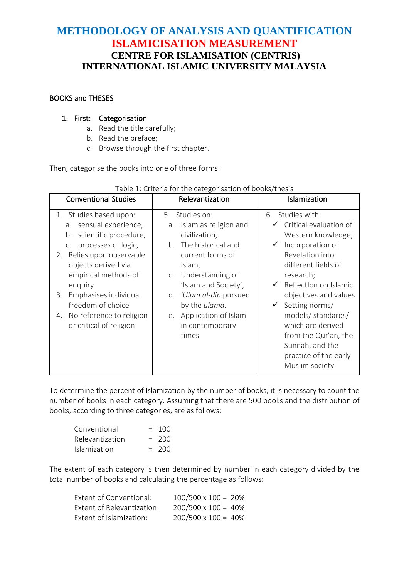# **METHODOLOGY OF ANALYSIS AND QUANTIFICATION ISLAMICISATION MEASUREMENT CENTRE FOR ISLAMISATION (CENTRIS) INTERNATIONAL ISLAMIC UNIVERSITY MALAYSIA**

### BOOKS and THESES

### 1. First: Categorisation

- a. Read the title carefully;
- b. Read the preface;
- c. Browse through the first chapter.

Then, categorise the books into one of three forms:

| <b>Conventional Studies</b>                                                                                                                                                                                                                                                                                                            | Relevantization                                                                                                                                                                                                                                                                | Islamization                                                                                                                                                                                                                                                                                                                                                     |
|----------------------------------------------------------------------------------------------------------------------------------------------------------------------------------------------------------------------------------------------------------------------------------------------------------------------------------------|--------------------------------------------------------------------------------------------------------------------------------------------------------------------------------------------------------------------------------------------------------------------------------|------------------------------------------------------------------------------------------------------------------------------------------------------------------------------------------------------------------------------------------------------------------------------------------------------------------------------------------------------------------|
| Studies based upon:<br>1.<br>sensual experience,<br>a.<br>scientific procedure,<br>b.<br>processes of logic,<br>C <sub>1</sub><br>2. Relies upon observable<br>objects derived via<br>empirical methods of<br>enquiry<br>Emphasises individual<br>3.<br>freedom of choice<br>No reference to religion<br>4.<br>or critical of religion | Studies on:<br>5.<br>a. Islam as religion and<br>civilization,<br>The historical and<br>b.<br>current forms of<br>Islam,<br>c. Understanding of<br>'Islam and Society',<br>d. 'Ulum al-din pursued<br>by the ulama.<br>Application of Islam<br>e.<br>in contemporary<br>times. | 6. Studies with:<br>Critical evaluation of<br>Western knowledge;<br>Incorporation of<br>Revelation into<br>different fields of<br>research;<br>Reflection on Islamic<br>objectives and values<br>Setting norms/<br>$\checkmark$<br>models/ standards/<br>which are derived<br>from the Qur'an, the<br>Sunnah, and the<br>practice of the early<br>Muslim society |

#### Table 1: Criteria for the categorisation of books/thesis

To determine the percent of Islamization by the number of books, it is necessary to count the number of books in each category. Assuming that there are 500 books and the distribution of books, according to three categories, are as follows:

| Conventional    | $= 100$ |
|-----------------|---------|
| Relevantization | $= 200$ |
| Islamization    | $= 200$ |

The extent of each category is then determined by number in each category divided by the total number of books and calculating the percentage as follows:

| Extent of Conventional:    | $100/500 \times 100 = 20\%$ |
|----------------------------|-----------------------------|
| Extent of Relevantization: | $200/500 \times 100 = 40\%$ |
| Extent of Islamization:    | $200/500 \times 100 = 40\%$ |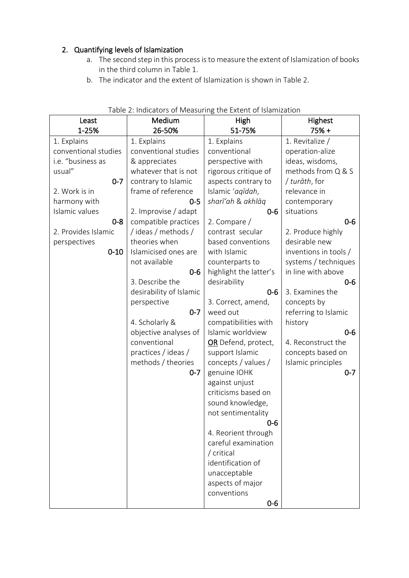# 2. Quantifying levels of Islamization

- a. The second step in this process is to measure the extent of Islamization of books in the third column in Table 1.
- b. The indicator and the extent of Islamization is shown in Table 2.

| Least<br>1-25%       | Medium<br>26-50%        | High<br>51-75%         | Highest<br>$75% +$    |
|----------------------|-------------------------|------------------------|-----------------------|
| 1. Explains          | 1. Explains             | 1. Explains            | 1. Revitalize /       |
| conventional studies | conventional studies    | conventional           | operation-alize       |
| i.e. "business as    | & appreciates           | perspective with       | ideas, wisdoms,       |
| usual"               | whatever that is not    | rigorous critique of   | methods from Q & S    |
| $0 - 7$              | contrary to Islamic     | aspects contrary to    | / turāth, for         |
| 2. Work is in        | frame of reference      | Islamic 'aqīdah,       | relevance in          |
| harmony with         | $0 - 5$                 | sharī'ah & akhlāq      | contemporary          |
| Islamic values       | 2. Improvise / adapt    | $0 - 6$                | situations            |
| $0 - 8$              | compatible practices    | 2. Compare $/$         | $0-6$                 |
| 2. Provides Islamic  | /ideas/methods/         | contrast secular       | 2. Produce highly     |
| perspectives         | theories when           | based conventions      | desirable new         |
| $0 - 10$             | Islamicised ones are    | with Islamic           | inventions in tools / |
|                      | not available           | counterparts to        | systems / techniques  |
|                      | $0-6$                   | highlight the latter's | in line with above    |
|                      | 3. Describe the         | desirability           | $0-6$                 |
|                      | desirability of Islamic | $0 - 6$                | 3. Examines the       |
|                      | perspective             | 3. Correct, amend,     | concepts by           |
|                      | $0 - 7$                 | weed out               | referring to Islamic  |
|                      | 4. Scholarly &          | compatibilities with   | history               |
|                      | objective analyses of   | Islamic worldview      | $0-6$                 |
|                      | conventional            | OR Defend, protect,    | 4. Reconstruct the    |
|                      | practices / ideas /     | support Islamic        | concepts based on     |
|                      | methods / theories      | concepts / values /    | Islamic principles    |
|                      | $0 - 7$                 | genuine IOHK           | $0 - 7$               |
|                      |                         | against unjust         |                       |
|                      |                         | criticisms based on    |                       |
|                      |                         | sound knowledge,       |                       |
|                      |                         | not sentimentality     |                       |
|                      |                         | $0 - 6$                |                       |
|                      |                         | 4. Reorient through    |                       |
|                      |                         | careful examination    |                       |
|                      |                         | / critical             |                       |
|                      |                         | identification of      |                       |
|                      |                         | unacceptable           |                       |
|                      |                         | aspects of major       |                       |
|                      |                         | conventions            |                       |
|                      |                         | $0-6$                  |                       |

#### Table 2: Indicators of Measuring the Extent of Islamization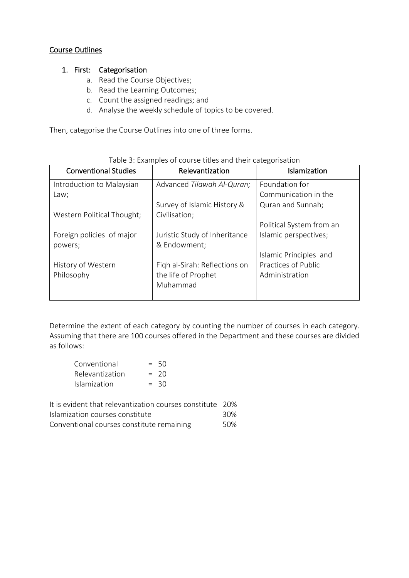#### Course Outlines

#### 1. First: Categorisation

- a. Read the Course Objectives;
- b. Read the Learning Outcomes;
- c. Count the assigned readings; and
- d. Analyse the weekly schedule of topics to be covered.

Then, categorise the Course Outlines into one of three forms.

| <b>Conventional Studies</b> | Relevantization               | Islamization             |
|-----------------------------|-------------------------------|--------------------------|
| Introduction to Malaysian   | Advanced Tilawah Al-Quran;    | Foundation for           |
| Law;                        |                               | Communication in the     |
|                             | Survey of Islamic History &   | Quran and Sunnah;        |
| Western Political Thought;  | Civilisation;                 |                          |
|                             |                               | Political System from an |
| Foreign policies of major   | Juristic Study of Inheritance | Islamic perspectives;    |
| powers;                     | & Endowment;                  |                          |
|                             |                               | Islamic Principles and   |
| History of Western          | Figh al-Sirah: Reflections on | Practices of Public      |
| Philosophy                  | the life of Prophet           | Administration           |
|                             | Muhammad                      |                          |
|                             |                               |                          |

#### Table 3: Examples of course titles and their categorisation

Determine the extent of each category by counting the number of courses in each category. Assuming that there are 100 courses offered in the Department and these courses are divided as follows:

| Conventional           | $= 50$ |
|------------------------|--------|
| <b>Relevantization</b> | $= 20$ |
| <b>Islamization</b>    | $= 30$ |

| It is evident that relevantization courses constitute 20% |      |
|-----------------------------------------------------------|------|
| Islamization courses constitute                           | 30%  |
| Conventional courses constitute remaining                 | .50% |